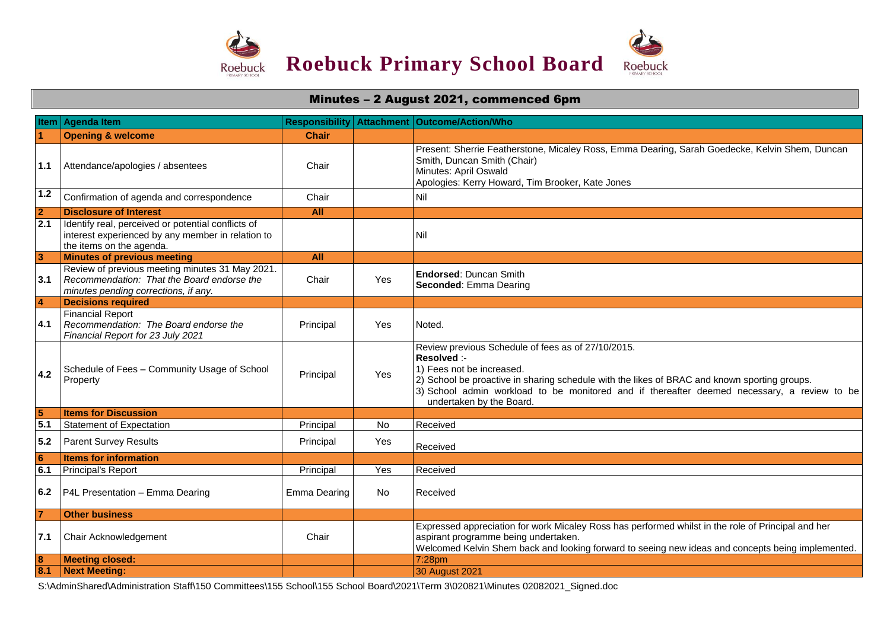

## Minutes – 2 August 2021, commenced 6pm

|                         | Item Agenda Item                                                                                                                      | <b>Responsibility</b> | <b>Attachment</b> | <b>Outcome/Action/Who</b>                                                                                                                                                                                                                                                                                                 |
|-------------------------|---------------------------------------------------------------------------------------------------------------------------------------|-----------------------|-------------------|---------------------------------------------------------------------------------------------------------------------------------------------------------------------------------------------------------------------------------------------------------------------------------------------------------------------------|
|                         | <b>Opening &amp; welcome</b>                                                                                                          | Chair                 |                   |                                                                                                                                                                                                                                                                                                                           |
| 1.1                     | Attendance/apologies / absentees                                                                                                      | Chair                 |                   | Present: Sherrie Featherstone, Micaley Ross, Emma Dearing, Sarah Goedecke, Kelvin Shem, Duncan<br>Smith, Duncan Smith (Chair)<br>Minutes: April Oswald<br>Apologies: Kerry Howard, Tim Brooker, Kate Jones                                                                                                                |
| 1.2                     | Confirmation of agenda and correspondence                                                                                             | Chair                 |                   | Nil                                                                                                                                                                                                                                                                                                                       |
| $\overline{2}$          | <b>Disclosure of Interest</b>                                                                                                         | <b>All</b>            |                   |                                                                                                                                                                                                                                                                                                                           |
| $\overline{2.1}$        | Identify real, perceived or potential conflicts of<br>interest experienced by any member in relation to<br>the items on the agenda.   |                       |                   | Nil                                                                                                                                                                                                                                                                                                                       |
| 3                       | <b>Minutes of previous meeting</b>                                                                                                    | <b>All</b>            |                   |                                                                                                                                                                                                                                                                                                                           |
| 3.1                     | Review of previous meeting minutes 31 May 2021.<br>Recommendation: That the Board endorse the<br>minutes pending corrections, if any. | Chair                 | Yes               | <b>Endorsed: Duncan Smith</b><br>Seconded: Emma Dearing                                                                                                                                                                                                                                                                   |
| $\overline{4}$          | <b>Decisions required</b>                                                                                                             |                       |                   |                                                                                                                                                                                                                                                                                                                           |
| 4.1                     | <b>Financial Report</b><br>Recommendation: The Board endorse the<br>Financial Report for 23 July 2021                                 | Principal             | Yes               | Noted.                                                                                                                                                                                                                                                                                                                    |
| 4.2                     | Schedule of Fees - Community Usage of School<br>Property                                                                              | Principal             | Yes               | Review previous Schedule of fees as of 27/10/2015.<br>Resolved :-<br>1) Fees not be increased.<br>2) School be proactive in sharing schedule with the likes of BRAC and known sporting groups.<br>3) School admin workload to be monitored and if thereafter deemed necessary, a review to be<br>undertaken by the Board. |
| 5                       | <b>Items for Discussion</b>                                                                                                           |                       |                   |                                                                                                                                                                                                                                                                                                                           |
| 5.1                     | <b>Statement of Expectation</b>                                                                                                       | Principal             | <b>No</b>         | Received                                                                                                                                                                                                                                                                                                                  |
| 5.2                     | <b>Parent Survey Results</b>                                                                                                          | Principal             | Yes               | Received                                                                                                                                                                                                                                                                                                                  |
| 6                       | <b>Items for information</b>                                                                                                          |                       |                   |                                                                                                                                                                                                                                                                                                                           |
| 6.1                     | Principal's Report                                                                                                                    | Principal             | Yes               | Received                                                                                                                                                                                                                                                                                                                  |
| 6.2                     | P4L Presentation - Emma Dearing                                                                                                       | Emma Dearing          | No                | Received                                                                                                                                                                                                                                                                                                                  |
| $\overline{7}$          | <b>Other business</b>                                                                                                                 |                       |                   |                                                                                                                                                                                                                                                                                                                           |
| 7.1                     | Chair Acknowledgement                                                                                                                 | Chair                 |                   | Expressed appreciation for work Micaley Ross has performed whilst in the role of Principal and her<br>aspirant programme being undertaken.<br>Welcomed Kelvin Shem back and looking forward to seeing new ideas and concepts being implemented.                                                                           |
| $\overline{\mathbf{8}}$ | <b>Meeting closed:</b>                                                                                                                |                       |                   | 7:28pm                                                                                                                                                                                                                                                                                                                    |
| 8.1                     | <b>Next Meeting:</b>                                                                                                                  |                       |                   | 30 August 2021                                                                                                                                                                                                                                                                                                            |

S:\AdminShared\Administration Staff\150 Committees\155 School\155 School Board\2021\Term 3\020821\Minutes 02082021\_Signed.doc